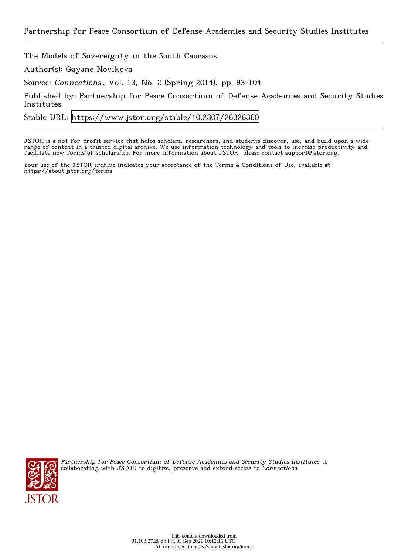The Models of Sovereignty in the South Caucasus

Author(s): Gayane Novikova

Source: Connections , Vol. 13, No. 2 (Spring 2014), pp. 93-104

Published by: Partnership for Peace Consortium of Defense Academies and Security Studies Institutes

Stable URL:<https://www.jstor.org/stable/10.2307/26326360>

JSTOR is a not-for-profit service that helps scholars, researchers, and students discover, use, and build upon a wide range of content in a trusted digital archive. We use information technology and tools to increase productivity and facilitate new forms of scholarship. For more information about JSTOR, please contact support@jstor.org.

Your use of the JSTOR archive indicates your acceptance of the Terms & Conditions of Use, available at https://about.jstor.org/terms



Partnership for Peace Consortium of Defense Academies and Security Studies Institutes is collaborating with JSTOR to digitize, preserve and extend access to Connections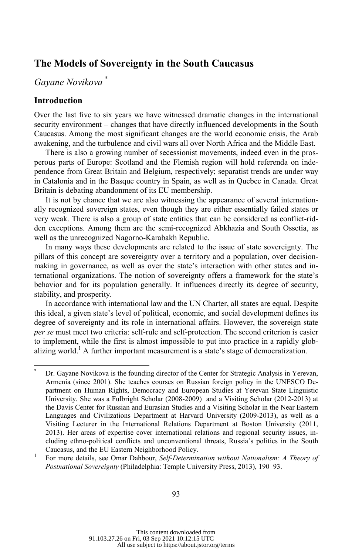# **The Models of Sovereignty in the South Caucasus**

# *Gayane Novikova* \*

## **Introduction**

l

Over the last five to six years we have witnessed dramatic changes in the international security environment – changes that have directly influenced developments in the South Caucasus. Among the most significant changes are the world economic crisis, the Arab awakening, and the turbulence and civil wars all over North Africa and the Middle East.

There is also a growing number of secessionist movements, indeed even in the prosperous parts of Europe: Scotland and the Flemish region will hold referenda on independence from Great Britain and Belgium, respectively; separatist trends are under way in Catalonia and in the Basque country in Spain, as well as in Quebec in Canada. Great Britain is debating abandonment of its EU membership.

It is not by chance that we are also witnessing the appearance of several internationally recognized sovereign states, even though they are either essentially failed states or very weak. There is also a group of state entities that can be considered as conflict-ridden exceptions. Among them are the semi-recognized Abkhazia and South Ossetia, as well as the unrecognized Nagorno-Karabakh Republic.

In many ways these developments are related to the issue of state sovereignty. The pillars of this concept are sovereignty over a territory and a population, over decisionmaking in governance, as well as over the state's interaction with other states and international organizations. The notion of sovereignty offers a framework for the state's behavior and for its population generally. It influences directly its degree of security, stability, and prosperity.

In accordance with international law and the UN Charter, all states are equal. Despite this ideal, a given state's level of political, economic, and social development defines its degree of sovereignty and its role in international affairs. However, the sovereign state *per se* must meet two criteria: self-rule and self-protection. The second criterion is easier to implement, while the first is almost impossible to put into practice in a rapidly globalizing world.<sup>1</sup> A further important measurement is a state's stage of democratization.

<sup>\*</sup> Dr. Gayane Novikova is the founding director of the Center for Strategic Analysis in Yerevan, Armenia (since 2001). She teaches courses on Russian foreign policy in the UNESCO Department on Human Rights, Democracy and European Studies at Yerevan State Linguistic University. She was a Fulbright Scholar (2008-2009) and a Visiting Scholar (2012-2013) at the Davis Center for Russian and Eurasian Studies and a Visiting Scholar in the Near Eastern Languages and Civilizations Department at Harvard University (2009-2013), as well as a Visiting Lecturer in the International Relations Department at Boston University (2011, 2013). Her areas of expertise cover international relations and regional security issues, including ethno-political conflicts and unconventional threats, Russia's politics in the South Caucasus, and the EU Eastern Neighborhood Policy.

For more details, see Omar Dahbour, *Self-Determination without Nationalism: A Theory of Postnational Sovereignty* (Philadelphia: Temple University Press, 2013), 190–93.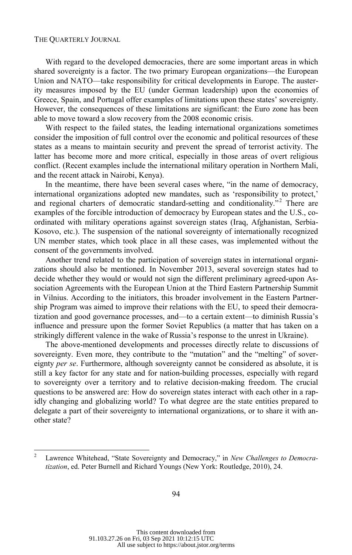With regard to the developed democracies, there are some important areas in which shared sovereignty is a factor. The two primary European organizations—the European Union and NATO—take responsibility for critical developments in Europe. The austerity measures imposed by the EU (under German leadership) upon the economies of Greece, Spain, and Portugal offer examples of limitations upon these states' sovereignty. However, the consequences of these limitations are significant: the Euro zone has been able to move toward a slow recovery from the 2008 economic crisis.

With respect to the failed states, the leading international organizations sometimes consider the imposition of full control over the economic and political resources of these states as a means to maintain security and prevent the spread of terrorist activity. The latter has become more and more critical, especially in those areas of overt religious conflict. (Recent examples include the international military operation in Northern Mali, and the recent attack in Nairobi, Kenya).

In the meantime, there have been several cases where, "in the name of democracy, international organizations adopted new mandates, such as 'responsibility to protect,' and regional charters of democratic standard-setting and conditionality."<sup>2</sup> There are examples of the forcible introduction of democracy by European states and the U.S., coordinated with military operations against sovereign states (Iraq, Afghanistan, Serbia-Kosovo, etc.). The suspension of the national sovereignty of internationally recognized UN member states, which took place in all these cases, was implemented without the consent of the governments involved.

Another trend related to the participation of sovereign states in international organizations should also be mentioned. In November 2013, several sovereign states had to decide whether they would or would not sign the different preliminary agreed-upon Association Agreements with the European Union at the Third Eastern Partnership Summit in Vilnius. According to the initiators, this broader involvement in the Eastern Partnership Program was aimed to improve their relations with the EU, to speed their democratization and good governance processes, and—to a certain extent—to diminish Russia's influence and pressure upon the former Soviet Republics (a matter that has taken on a strikingly different valence in the wake of Russia's response to the unrest in Ukraine).

The above-mentioned developments and processes directly relate to discussions of sovereignty. Even more, they contribute to the "mutation" and the "melting" of sovereignty *per se*. Furthermore, although sovereignty cannot be considered as absolute, it is still a key factor for any state and for nation-building processes, especially with regard to sovereignty over a territory and to relative decision-making freedom. The crucial questions to be answered are: How do sovereign states interact with each other in a rapidly changing and globalizing world? To what degree are the state entities prepared to delegate a part of their sovereignty to international organizations, or to share it with another state?

<sup>&</sup>lt;sup>2</sup> Lawrence Whitehead, "State Sovereignty and Democracy," in *New Challenges to Democratization*, ed. Peter Burnell and Richard Youngs (New York: Routledge, 2010), 24.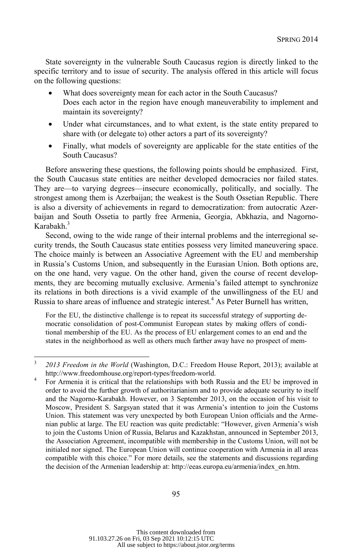State sovereignty in the vulnerable South Caucasus region is directly linked to the specific territory and to issue of security. The analysis offered in this article will focus on the following questions:

- What does sovereignty mean for each actor in the South Caucasus? Does each actor in the region have enough maneuverability to implement and maintain its sovereignty?
- Under what circumstances, and to what extent, is the state entity prepared to share with (or delegate to) other actors a part of its sovereignty?
- Finally, what models of sovereignty are applicable for the state entities of the South Caucasus?

Before answering these questions, the following points should be emphasized. First, the South Caucasus state entities are neither developed democracies nor failed states. They are—to varying degrees—insecure economically, politically, and socially. The strongest among them is Azerbaijan; the weakest is the South Ossetian Republic. There is also a diversity of achievements in regard to democratization: from autocratic Azerbaijan and South Ossetia to partly free Armenia, Georgia, Abkhazia, and Nagorno-Karabakh. $3$ 

Second, owing to the wide range of their internal problems and the interregional security trends, the South Caucasus state entities possess very limited maneuvering space. The choice mainly is between an Associative Agreement with the EU and membership in Russia's Customs Union, and subsequently in the Eurasian Union. Both options are, on the one hand, very vague. On the other hand, given the course of recent developments, they are becoming mutually exclusive. Armenia's failed attempt to synchronize its relations in both directions is a vivid example of the unwillingness of the EU and Russia to share areas of influence and strategic interest.<sup>4</sup> As Peter Burnell has written,

For the EU, the distinctive challenge is to repeat its successful strategy of supporting democratic consolidation of post-Communist European states by making offers of conditional membership of the EU. As the process of EU enlargement comes to an end and the states in the neighborhood as well as others much farther away have no prospect of mem-

l

<sup>&</sup>lt;sup>3</sup> *2013 Freedom in the World* (Washington, D.C.: Freedom House Report, 2013); available at http://www.freedomhouse.org/report-types/freedom-world.<br>4 Eer Armenia it is critical that the relationships with both l

For Armenia it is critical that the relationships with both Russia and the EU be improved in order to avoid the further growth of authoritarianism and to provide adequate security to itself and the Nagorno-Karabakh. However, on 3 September 2013, on the occasion of his visit to Moscow, President S. Sargsyan stated that it was Armenia's intention to join the Customs Union. This statement was very unexpected by both European Union officials and the Armenian public at large. The EU reaction was quite predictable: "However, given Armenia's wish to join the Customs Union of Russia, Belarus and Kazakhstan, announced in September 2013, the Association Agreement, incompatible with membership in the Customs Union, will not be initialed nor signed. The European Union will continue cooperation with Armenia in all areas compatible with this choice." For more details, see the statements and discussions regarding the decision of the Armenian leadership at: http://eeas.europa.eu/armenia/index\_en.htm.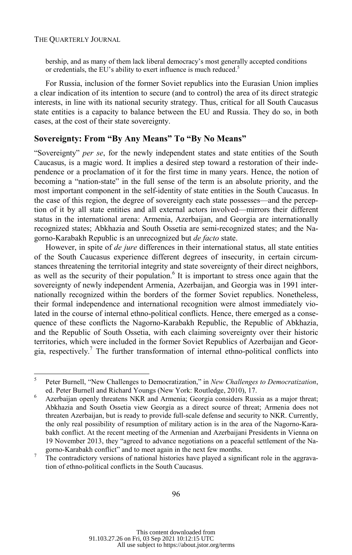bership, and as many of them lack liberal democracy's most generally accepted conditions or credentials, the EU's ability to exert influence is much reduced.<sup>5</sup>

For Russia, inclusion of the former Soviet republics into the Eurasian Union implies a clear indication of its intention to secure (and to control) the area of its direct strategic interests, in line with its national security strategy. Thus, critical for all South Caucasus state entities is a capacity to balance between the EU and Russia. They do so, in both cases, at the cost of their state sovereignty.

## **Sovereignty: From "By Any Means" To "By No Means"**

"Sovereignty" *per se*, for the newly independent states and state entities of the South Caucasus, is a magic word. It implies a desired step toward a restoration of their independence or a proclamation of it for the first time in many years. Hence, the notion of becoming a "nation-state" in the full sense of the term is an absolute priority, and the most important component in the self-identity of state entities in the South Caucasus. In the case of this region, the degree of sovereignty each state possesses—and the perception of it by all state entities and all external actors involved—mirrors their different status in the international arena: Armenia, Azerbaijan, and Georgia are internationally recognized states; Abkhazia and South Ossetia are semi-recognized states; and the Nagorno-Karabakh Republic is an unrecognized but *de facto* state.

However, in spite of *de jure* differences in their international status, all state entities of the South Caucasus experience different degrees of insecurity, in certain circumstances threatening the territorial integrity and state sovereignty of their direct neighbors, as well as the security of their population.<sup>6</sup> It is important to stress once again that the sovereignty of newly independent Armenia, Azerbaijan, and Georgia was in 1991 internationally recognized within the borders of the former Soviet republics. Nonetheless, their formal independence and international recognition were almost immediately violated in the course of internal ethno-political conflicts. Hence, there emerged as a consequence of these conflicts the Nagorno-Karabakh Republic, the Republic of Abkhazia, and the Republic of South Ossetia, with each claiming sovereignty over their historic territories, which were included in the former Soviet Republics of Azerbaijan and Georgia, respectively.<sup>7</sup> The further transformation of internal ethno-political conflicts into

 5 Peter Burnell, "New Challenges to Democratization," in *New Challenges to Democratization*, ed. Peter Burnell and Richard Youngs (New York: Routledge, 2010), 17. 6

Azerbaijan openly threatens NKR and Armenia; Georgia considers Russia as a major threat; Abkhazia and South Ossetia view Georgia as a direct source of threat; Armenia does not threaten Azerbaijan, but is ready to provide full-scale defense and security to NKR. Currently, the only real possibility of resumption of military action is in the area of the Nagorno-Karabakh conflict. At the recent meeting of the Armenian and Azerbaijani Presidents in Vienna on 19 November 2013, they "agreed to advance negotiations on a peaceful settlement of the Nagorno-Karabakh conflict" and to meet again in the next few months.

The contradictory versions of national histories have played a significant role in the aggravation of ethno-political conflicts in the South Caucasus.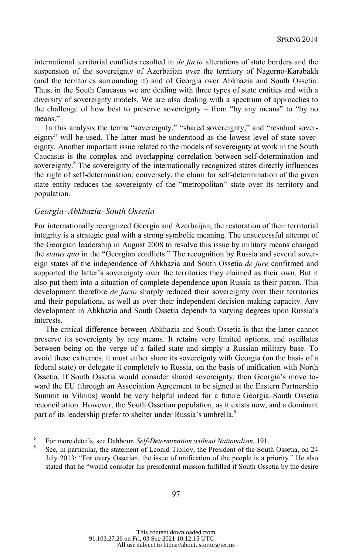international territorial conflicts resulted in *de facto* alterations of state borders and the suspension of the sovereignty of Azerbaijan over the territory of Nagorno-Karabakh (and the territories surrounding it) and of Georgia over Abkhazia and South Ossetia. Thus, in the South Caucasus we are dealing with three types of state entities and with a diversity of sovereignty models. We are also dealing with a spectrum of approaches to the challenge of how best to preserve sovereignty – from "by any means" to "by no means."

In this analysis the terms "sovereignty," "shared sovereignty," and "residual sovereignty" will be used. The latter must be understood as the lowest level of state sovereignty. Another important issue related to the models of sovereignty at work in the South Caucasus is the complex and overlapping correlation between self-determination and sovereignty.<sup>8</sup> The sovereignty of the internationally recognized states directly influences the right of self-determination; conversely, the claim for self-determination of the given state entity reduces the sovereignty of the "metropolitan" state over its territory and population.

#### *Georgia–Abkhazia–South Ossetia*

For internationally recognized Georgia and Azerbaijan, the restoration of their territorial integrity is a strategic goal with a strong symbolic meaning. The unsuccessful attempt of the Georgian leadership in August 2008 to resolve this issue by military means changed the *status quo* in the "Georgian conflicts." The recognition by Russia and several sovereign states of the independence of Abkhazia and South Ossetia *de jure* confirmed and supported the latter's sovereignty over the territories they claimed as their own. But it also put them into a situation of complete dependence upon Russia as their patron. This development therefore *de facto* sharply reduced their sovereignty over their territories and their populations, as well as over their independent decision-making capacity. Any development in Abkhazia and South Ossetia depends to varying degrees upon Russia's interests.

The critical difference between Abkhazia and South Ossetia is that the latter cannot preserve its sovereignty by any means. It retains very limited options, and oscillates between being on the verge of a failed state and simply a Russian military base. To avoid these extremes, it must either share its sovereignty with Georgia (on the basis of a federal state) or delegate it completely to Russia, on the basis of unification with North Ossetia. If South Ossetia would consider shared sovereignty, then Georgia's move toward the EU (through an Association Agreement to be signed at the Eastern Partnership Summit in Vilnius) would be very helpful indeed for a future Georgia–South Ossetia reconciliation. However, the South Ossetian population, as it exists now, and a dominant part of its leadership prefer to shelter under Russia's umbrella.<sup>9</sup>

 8 <sup>8</sup> For more details, see Dahbour, *Self-Determination without Nationalism*, 191.

See, in particular, the statement of Leonid Tibilov, the President of the South Ossetia, on 24 July 2013: "For every Ossetian, the issue of unification of the people is a priority." He also stated that he "would consider his presidential mission fulfilled if South Ossetia by the desire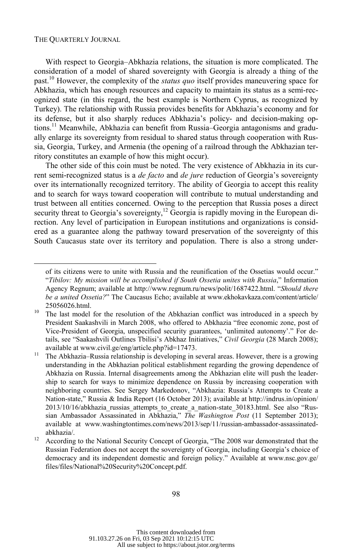l

With respect to Georgia–Abkhazia relations, the situation is more complicated. The consideration of a model of shared sovereignty with Georgia is already a thing of the past.10 However, the complexity of the *status quo* itself provides maneuvering space for Abkhazia, which has enough resources and capacity to maintain its status as a semi-recognized state (in this regard, the best example is Northern Cyprus, as recognized by Turkey). The relationship with Russia provides benefits for Abkhazia's economy and for its defense, but it also sharply reduces Abkhazia's policy- and decision-making options.<sup>11</sup> Meanwhile, Abkhazia can benefit from Russia–Georgia antagonisms and gradually enlarge its sovereignty from residual to shared status through cooperation with Russia, Georgia, Turkey, and Armenia (the opening of a railroad through the Abkhazian territory constitutes an example of how this might occur).

The other side of this coin must be noted. The very existence of Abkhazia in its current semi-recognized status is a *de facto* and *de jure* reduction of Georgia's sovereignty over its internationally recognized territory. The ability of Georgia to accept this reality and to search for ways toward cooperation will contribute to mutual understanding and trust between all entities concerned. Owing to the perception that Russia poses a direct security threat to Georgia's sovereignty,<sup>12</sup> Georgia is rapidly moving in the European direction. Any level of participation in European institutions and organizations is considered as a guarantee along the pathway toward preservation of the sovereignty of this South Caucasus state over its territory and population. There is also a strong under-

of its citizens were to unite with Russia and the reunification of the Ossetias would occur." "*Tibilov: My mission will be accomplished if South Ossetia unites with Russia*," Information Agency Regnum; available at http://www.regnum.ru/news/polit/1687422.html. "*Should there be a united Ossetia?*" The Caucasus Echo; available at www.ekhokavkaza.com/content/article/ 25056026.html.<br><sup>10</sup> The last model for the resolution of the Abkhazian conflict was introduced in a speech by

President Saakashvili in March 2008, who offered to Abkhazia "free economic zone, post of Vice-President of Georgia, unspecified security guarantees, 'unlimited autonomy'." For details, see "Saakashvili Outlines Tbilisi's Abkhaz Initiatives," *Civil Georgia* (28 March 2008); available at www.civil.ge/eng/article.php?id=17473.<br><sup>11</sup> The Abkhazia–Russia relationship is developing in several areas. However, there is a growing

understanding in the Abkhazian political establishment regarding the growing dependence of Abkhazia on Russia. Internal disagreements among the Abkhazian elite will push the leadership to search for ways to minimize dependence on Russia by increasing cooperation with neighboring countries. See Sergey Markedonov, "Abkhazia: Russia's Attempts to Create a Nation-state," Russia & India Report (16 October 2013); available at http://indrus.in/opinion/ 2013/10/16/abkhazia russias attempts to create a nation-state 30183.html. See also "Russian Ambassador Assassinated in Abkhazia," *The Washington Post* (11 September 2013); available at www.washingtontimes.com/news/2013/sep/11/russian-ambassador-assassinatedabkhazia/. 12 According to the National Security Concept of Georgia, "The 2008 war demonstrated that the

Russian Federation does not accept the sovereignty of Georgia, including Georgia's choice of democracy and its independent domestic and foreign policy." Available at www.nsc.gov.ge/ files/files/National%20Security%20Concept.pdf.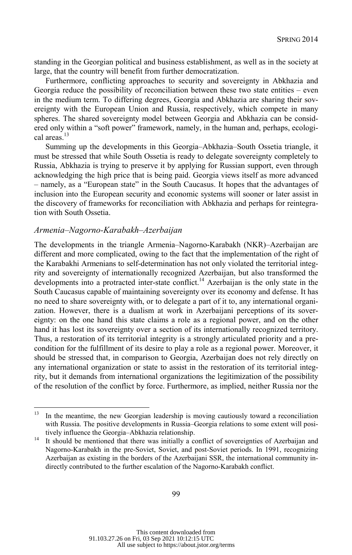standing in the Georgian political and business establishment, as well as in the society at large, that the country will benefit from further democratization.

Furthermore, conflicting approaches to security and sovereignty in Abkhazia and Georgia reduce the possibility of reconciliation between these two state entities – even in the medium term. To differing degrees, Georgia and Abkhazia are sharing their sovereignty with the European Union and Russia, respectively, which compete in many spheres. The shared sovereignty model between Georgia and Abkhazia can be considered only within a "soft power" framework, namely, in the human and, perhaps, ecological areas.<sup>13</sup>

Summing up the developments in this Georgia–Abkhazia–South Ossetia triangle, it must be stressed that while South Ossetia is ready to delegate sovereignty completely to Russia, Abkhazia is trying to preserve it by applying for Russian support, even through acknowledging the high price that is being paid. Georgia views itself as more advanced – namely, as a "European state" in the South Caucasus. It hopes that the advantages of inclusion into the European security and economic systems will sooner or later assist in the discovery of frameworks for reconciliation with Abkhazia and perhaps for reintegration with South Ossetia.

### *Armenia–Nagorno-Karabakh–Azerbaijan*

The developments in the triangle Armenia–Nagorno-Karabakh (NKR)–Azerbaijan are different and more complicated, owing to the fact that the implementation of the right of the Karabakhi Armenians to self-determination has not only violated the territorial integrity and sovereignty of internationally recognized Azerbaijan, but also transformed the developments into a protracted inter-state conflict.<sup>14</sup> Azerbaijan is the only state in the South Caucasus capable of maintaining sovereignty over its economy and defense. It has no need to share sovereignty with, or to delegate a part of it to, any international organization. However, there is a dualism at work in Azerbaijani perceptions of its sovereignty: on the one hand this state claims a role as a regional power, and on the other hand it has lost its sovereignty over a section of its internationally recognized territory. Thus, a restoration of its territorial integrity is a strongly articulated priority and a precondition for the fulfillment of its desire to play a role as a regional power. Moreover, it should be stressed that, in comparison to Georgia, Azerbaijan does not rely directly on any international organization or state to assist in the restoration of its territorial integrity, but it demands from international organizations the legitimization of the possibility of the resolution of the conflict by force. Furthermore, as implied, neither Russia nor the

<sup>13</sup> 13 In the meantime, the new Georgian leadership is moving cautiously toward a reconciliation with Russia. The positive developments in Russia–Georgia relations to some extent will positively influence the Georgia–Abkhazia relationship.<br>It should be mentioned that there was initially a conflict of sovereignties of Azerbaijan and

Nagorno-Karabakh in the pre-Soviet, Soviet, and post-Soviet periods. In 1991, recognizing Azerbaijan as existing in the borders of the Azerbaijani SSR, the international community indirectly contributed to the further escalation of the Nagorno-Karabakh conflict.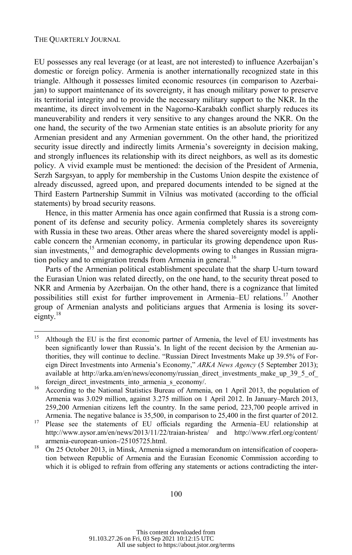EU possesses any real leverage (or at least, are not interested) to influence Azerbaijan's domestic or foreign policy. Armenia is another internationally recognized state in this triangle. Although it possesses limited economic resources (in comparison to Azerbaijan) to support maintenance of its sovereignty, it has enough military power to preserve its territorial integrity and to provide the necessary military support to the NKR. In the meantime, its direct involvement in the Nagorno-Karabakh conflict sharply reduces its maneuverability and renders it very sensitive to any changes around the NKR. On the one hand, the security of the two Armenian state entities is an absolute priority for any Armenian president and any Armenian government. On the other hand, the prioritized security issue directly and indirectly limits Armenia's sovereignty in decision making, and strongly influences its relationship with its direct neighbors, as well as its domestic policy. A vivid example must be mentioned: the decision of the President of Armenia, Serzh Sargsyan, to apply for membership in the Customs Union despite the existence of already discussed, agreed upon, and prepared documents intended to be signed at the Third Eastern Partnership Summit in Vilnius was motivated (according to the official statements) by broad security reasons.

Hence, in this matter Armenia has once again confirmed that Russia is a strong component of its defense and security policy. Armenia completely shares its sovereignty with Russia in these two areas. Other areas where the shared sovereignty model is applicable concern the Armenian economy, in particular its growing dependence upon Russian investments,<sup>15</sup> and demographic developments owing to changes in Russian migration policy and to emigration trends from Armenia in general.<sup>16</sup>

Parts of the Armenian political establishment speculate that the sharp U-turn toward the Eurasian Union was related directly, on the one hand, to the security threat posed to NKR and Armenia by Azerbaijan. On the other hand, there is a cognizance that limited possibilities still exist for further improvement in Armenia–EU relations.<sup>17</sup> Another group of Armenian analysts and politicians argues that Armenia is losing its sovereignty. $18$ 

<sup>15</sup> 15 Although the EU is the first economic partner of Armenia, the level of EU investments has been significantly lower than Russia's. In light of the recent decision by the Armenian authorities, they will continue to decline. "Russian Direct Investments Make up 39.5% of Foreign Direct Investments into Armenia's Economy," *ARKA News Agency* (5 September 2013); available at http://arka.am/en/news/economy/russian\_direct\_investments\_make\_up\_39\_5\_of foreign\_direct\_investments\_into\_armenia\_s\_economy/.<br><sup>16</sup> According to the National Statistics Bureau of Armenia, on 1 April 2013, the population of

Armenia was 3.029 million, against 3.275 million on 1 April 2012. In January–March 2013, 259,200 Armenian citizens left the country. In the same period, 223,700 people arrived in

Armenia. The negative balance is 35,500, in comparison to 25,400 in the first quarter of 2012.<br><sup>17</sup> Please see the statements of EU officials regarding the Armenia–EU relationship at http://www.aysor.am/en/news/2013/11/22/traian-hristea/ and http://www.rferl.org/content/ armenia-european-union-/25105725.html.<br><sup>18</sup> On 25 October 2013, in Minsk, Armenia signed a memorandum on intensification of coopera-

tion between Republic of Armenia and the Eurasian Economic Commission according to which it is obliged to refrain from offering any statements or actions contradicting the inter-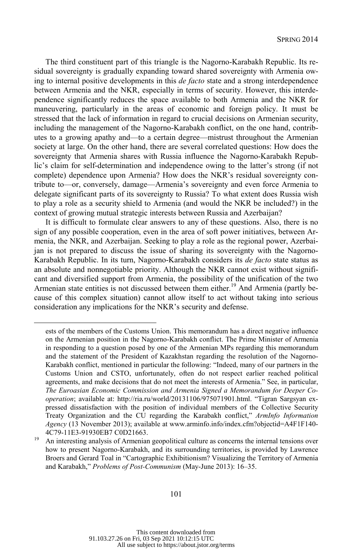The third constituent part of this triangle is the Nagorno-Karabakh Republic. Its residual sovereignty is gradually expanding toward shared sovereignty with Armenia owing to internal positive developments in this *de facto* state and a strong interdependence between Armenia and the NKR, especially in terms of security. However, this interdependence significantly reduces the space available to both Armenia and the NKR for maneuvering, particularly in the areas of economic and foreign policy. It must be stressed that the lack of information in regard to crucial decisions on Armenian security, including the management of the Nagorno-Karabakh conflict, on the one hand, contributes to a growing apathy and—to a certain degree—mistrust throughout the Armenian society at large. On the other hand, there are several correlated questions: How does the sovereignty that Armenia shares with Russia influence the Nagorno-Karabakh Republic's claim for self-determination and independence owing to the latter's strong (if not complete) dependence upon Armenia? How does the NKR's residual sovereignty contribute to—or, conversely, damage—Armenia's sovereignty and even force Armenia to delegate significant parts of its sovereignty to Russia? To what extent does Russia wish to play a role as a security shield to Armenia (and would the NKR be included?) in the context of growing mutual strategic interests between Russia and Azerbaijan?

It is difficult to formulate clear answers to any of these questions. Also, there is no sign of any possible cooperation, even in the area of soft power initiatives, between Armenia, the NKR, and Azerbaijan. Seeking to play a role as the regional power, Azerbaijan is not prepared to discuss the issue of sharing its sovereignty with the Nagorno-Karabakh Republic. In its turn, Nagorno-Karabakh considers its *de facto* state status as an absolute and nonnegotiable priority. Although the NKR cannot exist without significant and diversified support from Armenia, the possibility of the unification of the two Armenian state entities is not discussed between them either.<sup>19</sup> And Armenia (partly because of this complex situation) cannot allow itself to act without taking into serious consideration any implications for the NKR's security and defense.

l

ests of the members of the Customs Union. This memorandum has a direct negative influence on the Armenian position in the Nagorno-Karabakh conflict. The Prime Minister of Armenia in responding to a question posed by one of the Armenian MPs regarding this memorandum and the statement of the President of Kazakhstan regarding the resolution of the Nagorno-Karabakh conflict, mentioned in particular the following: "Indeed, many of our partners in the Customs Union and CSTO, unfortunately, often do not respect earlier reached political agreements, and make decisions that do not meet the interests of Armenia." See, in particular, *The Euroasian Economic Commission and Armenia Signed a Memorandum for Deeper Cooperation*; available at: http://ria.ru/world/20131106/975071901.html. "Tigran Sargsyan expressed dissatisfaction with the position of individual members of the Collective Security Treaty Organization and the CU regarding the Karabakh conflict," *ArmInfo Information Agency* (13 November 2013); available at www.arminfo.info/index.cfm?objectid=A4F1F140- 4C79-11E3-91930EB7 C0D21663.<br><sup>19</sup> An interesting analysis of Armenian geopolitical culture as concerns the internal tensions over

how to present Nagorno-Karabakh, and its surrounding territories, is provided by Lawrence Broers and Gerard Toal in "Cartographic Exhibitionism? Visualizing the Territory of Armenia and Karabakh," *Problems of Post-Communism* (May-June 2013): 16–35.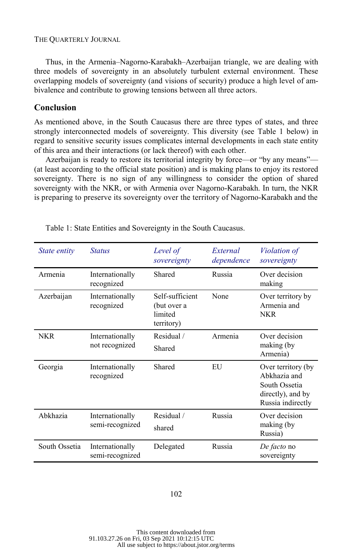Thus, in the Armenia–Nagorno-Karabakh–Azerbaijan triangle, we are dealing with three models of sovereignty in an absolutely turbulent external environment. These overlapping models of sovereignty (and visions of security) produce a high level of ambivalence and contribute to growing tensions between all three actors.

## **Conclusion**

As mentioned above, in the South Caucasus there are three types of states, and three strongly interconnected models of sovereignty. This diversity (see Table 1 below) in regard to sensitive security issues complicates internal developments in each state entity of this area and their interactions (or lack thereof) with each other.

Azerbaijan is ready to restore its territorial integrity by force—or "by any means"— (at least according to the official state position) and is making plans to enjoy its restored sovereignty. There is no sign of any willingness to consider the option of shared sovereignty with the NKR, or with Armenia over Nagorno-Karabakh. In turn, the NKR is preparing to preserve its sovereignty over the territory of Nagorno-Karabakh and the

| <i>State entity</i> | <b>Status</b>                      | Level of<br>sovereignty                                 | External<br>dependence | <i>Violation of</i><br>sovereignty                                                            |
|---------------------|------------------------------------|---------------------------------------------------------|------------------------|-----------------------------------------------------------------------------------------------|
| Armenia             | Internationally<br>recognized      | Shared                                                  | Russia                 | Over decision<br>making                                                                       |
| Azerbaijan          | Internationally<br>recognized      | Self-sufficient<br>(but over a<br>limited<br>territory) | None                   | Over territory by<br>Armenia and<br><b>NKR</b>                                                |
| <b>NKR</b>          | Internationally<br>not recognized  | Residual /<br>Shared                                    | Armenia                | Over decision<br>making (by<br>Armenia)                                                       |
| Georgia             | Internationally<br>recognized      | Shared                                                  | EU                     | Over territory (by<br>Abkhazia and<br>South Ossetia<br>directly), and by<br>Russia indirectly |
| Abkhazia            | Internationally<br>semi-recognized | Residual /<br>shared                                    | Russia                 | Over decision<br>making (by<br>Russia)                                                        |
| South Ossetia       | Internationally<br>semi-recognized | Delegated                                               | Russia                 | De facto no<br>sovereignty                                                                    |

Table 1: State Entities and Sovereignty in the South Caucasus.

#### 102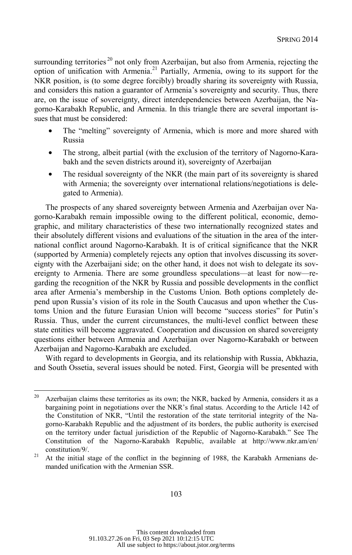surrounding territories<sup>20</sup> not only from Azerbaijan, but also from Armenia, rejecting the option of unification with Armenia.21 Partially, Armenia, owing to its support for the NKR position, is (to some degree forcibly) broadly sharing its sovereignty with Russia, and considers this nation a guarantor of Armenia's sovereignty and security. Thus, there are, on the issue of sovereignty, direct interdependencies between Azerbaijan, the Nagorno-Karabakh Republic, and Armenia. In this triangle there are several important issues that must be considered:

- The "melting" sovereignty of Armenia, which is more and more shared with Russia
- The strong, albeit partial (with the exclusion of the territory of Nagorno-Karabakh and the seven districts around it), sovereignty of Azerbaijan
- The residual sovereignty of the NKR (the main part of its sovereignty is shared with Armenia; the sovereignty over international relations/negotiations is delegated to Armenia).

The prospects of any shared sovereignty between Armenia and Azerbaijan over Nagorno-Karabakh remain impossible owing to the different political, economic, demographic, and military characteristics of these two internationally recognized states and their absolutely different visions and evaluations of the situation in the area of the international conflict around Nagorno-Karabakh. It is of critical significance that the NKR (supported by Armenia) completely rejects any option that involves discussing its sovereignty with the Azerbaijani side; on the other hand, it does not wish to delegate its sovereignty to Armenia. There are some groundless speculations—at least for now—regarding the recognition of the NKR by Russia and possible developments in the conflict area after Armenia's membership in the Customs Union. Both options completely depend upon Russia's vision of its role in the South Caucasus and upon whether the Customs Union and the future Eurasian Union will become "success stories" for Putin's Russia. Thus, under the current circumstances, the multi-level conflict between these state entities will become aggravated. Cooperation and discussion on shared sovereignty questions either between Armenia and Azerbaijan over Nagorno-Karabakh or between Azerbaijan and Nagorno-Karabakh are excluded.

With regard to developments in Georgia, and its relationship with Russia, Abkhazia, and South Ossetia, several issues should be noted. First, Georgia will be presented with

<sup>20</sup> Azerbaijan claims these territories as its own; the NKR, backed by Armenia, considers it as a bargaining point in negotiations over the NKR's final status. According to the Article 142 of the Constitution of NKR, "Until the restoration of the state territorial integrity of the Nagorno-Karabakh Republic and the adjustment of its borders, the public authority is exercised on the territory under factual jurisdiction of the Republic of Nagorno-Karabakh." See The Constitution of the Nagorno-Karabakh Republic, available at http://www.nkr.am/en/

constitution/9/.<br><sup>21</sup> At the initial stage of the conflict in the beginning of 1988, the Karabakh Armenians demanded unification with the Armenian SSR.